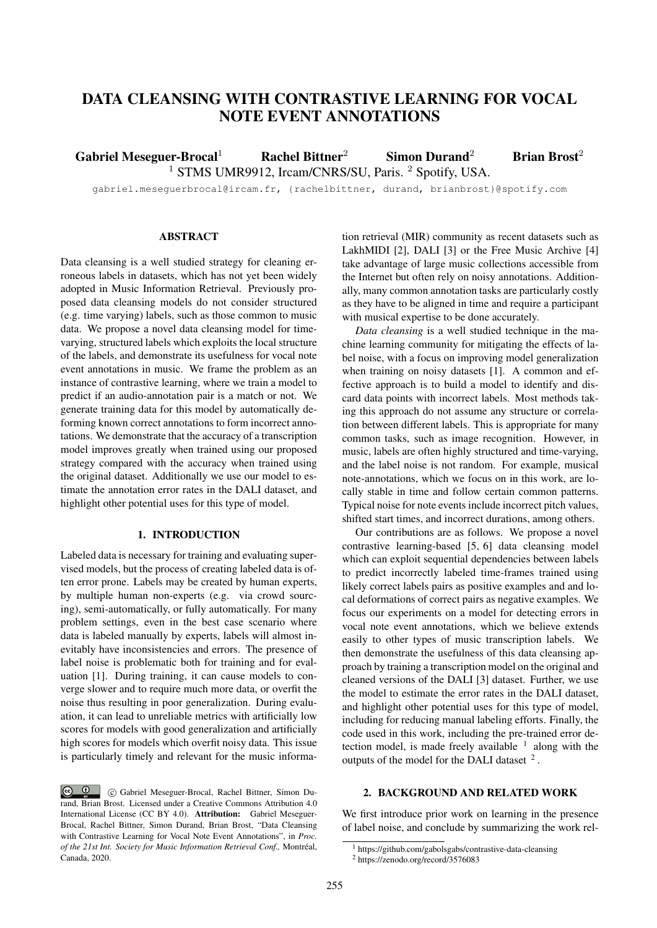# DATA CLEANSING WITH CONTRASTIVE LEARNING FOR VOCAL NOTE EVENT ANNOTATIONS

Gabriel Meseguer-Brocal<sup>1</sup> Rachel Bittner<sup>2</sup> Simon Durand<sup>2</sup> Brian Brost<sup>2</sup> <sup>1</sup> STMS UMR9912, Ircam/CNRS/SU, Paris. <sup>2</sup> Spotify, USA.

gabriel.meseguerbrocal@ircam.fr, {rachelbittner, durand, brianbrost}@spotify.com

# ABSTRACT

Data cleansing is a well studied strategy for cleaning erroneous labels in datasets, which has not yet been widely adopted in Music Information Retrieval. Previously proposed data cleansing models do not consider structured (e.g. time varying) labels, such as those common to music data. We propose a novel data cleansing model for timevarying, structured labels which exploits the local structure of the labels, and demonstrate its usefulness for vocal note event annotations in music. We frame the problem as an instance of contrastive learning, where we train a model to predict if an audio-annotation pair is a match or not. We generate training data for this model by automatically deforming known correct annotations to form incorrect annotations. We demonstrate that the accuracy of a transcription model improves greatly when trained using our proposed strategy compared with the accuracy when trained using the original dataset. Additionally we use our model to estimate the annotation error rates in the DALI dataset, and highlight other potential uses for this type of model.

# 1. INTRODUCTION

Labeled data is necessary for training and evaluating supervised models, but the process of creating labeled data is often error prone. Labels may be created by human experts, by multiple human non-experts (e.g. via crowd sourcing), semi-automatically, or fully automatically. For many problem settings, even in the best case scenario where data is labeled manually by experts, labels will almost inevitably have inconsistencies and errors. The presence of label noise is problematic both for training and for evaluation [1]. During training, it can cause models to converge slower and to require much more data, or overfit the noise thus resulting in poor generalization. During evaluation, it can lead to unreliable metrics with artificially low scores for models with good generalization and artificially high scores for models which overfit noisy data. This issue is particularly timely and relevant for the music information retrieval (MIR) community as recent datasets such as LakhMIDI [2], DALI [3] or the Free Music Archive [4] take advantage of large music collections accessible from the Internet but often rely on noisy annotations. Additionally, many common annotation tasks are particularly costly as they have to be aligned in time and require a participant with musical expertise to be done accurately.

*Data cleansing* is a well studied technique in the machine learning community for mitigating the effects of label noise, with a focus on improving model generalization when training on noisy datasets [1]. A common and effective approach is to build a model to identify and discard data points with incorrect labels. Most methods taking this approach do not assume any structure or correlation between different labels. This is appropriate for many common tasks, such as image recognition. However, in music, labels are often highly structured and time-varying, and the label noise is not random. For example, musical note-annotations, which we focus on in this work, are locally stable in time and follow certain common patterns. Typical noise for note events include incorrect pitch values, shifted start times, and incorrect durations, among others.

Our contributions are as follows. We propose a novel contrastive learning-based [5, 6] data cleansing model which can exploit sequential dependencies between labels to predict incorrectly labeled time-frames trained using likely correct labels pairs as positive examples and and local deformations of correct pairs as negative examples. We focus our experiments on a model for detecting errors in vocal note event annotations, which we believe extends easily to other types of music transcription labels. We then demonstrate the usefulness of this data cleansing approach by training a transcription model on the original and cleaned versions of the DALI [3] dataset. Further, we use the model to estimate the error rates in the DALI dataset, and highlight other potential uses for this type of model, including for reducing manual labeling efforts. Finally, the code used in this work, including the pre-trained error detection model, is made freely available  $1$  along with the outputs of the model for the DALI dataset  $2$ .

# 2. BACKGROUND AND RELATED WORK

We first introduce prior work on learning in the presence of label noise, and conclude by summarizing the work rel-

 $\odot$   $\odot$  c Gabriel Meseguer-Brocal, Rachel Bittner, Simon Durand, Brian Brost. Licensed under a Creative Commons Attribution 4.0 International License (CC BY 4.0). Attribution: Gabriel Meseguer-Brocal, Rachel Bittner, Simon Durand, Brian Brost, "Data Cleansing with Contrastive Learning for Vocal Note Event Annotations", in *Proc. of the 21st Int. Society for Music Information Retrieval Conf.,* Montréal, Canada, 2020.

https://github.com/gabolsgabs/contrastive-data-cleansing <sup>2</sup> https://zenodo.org/record/3576083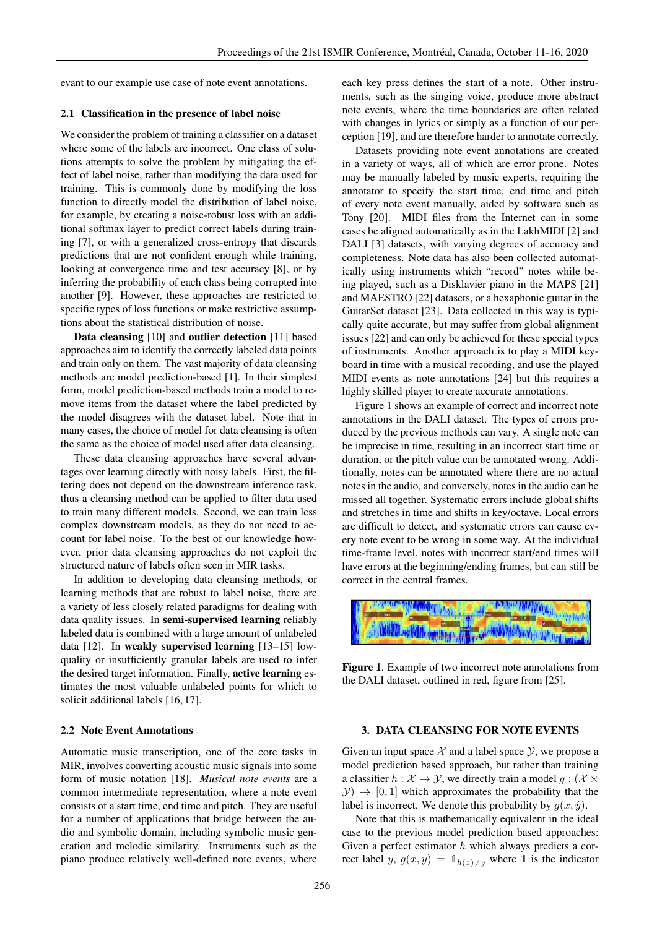evant to our example use case of note event annotations.

#### 2.1 Classification in the presence of label noise

We consider the problem of training a classifier on a dataset where some of the labels are incorrect. One class of solutions attempts to solve the problem by mitigating the effect of label noise, rather than modifying the data used for training. This is commonly done by modifying the loss function to directly model the distribution of label noise, for example, by creating a noise-robust loss with an additional softmax layer to predict correct labels during training [7], or with a generalized cross-entropy that discards predictions that are not confident enough while training, looking at convergence time and test accuracy [8], or by inferring the probability of each class being corrupted into another [9]. However, these approaches are restricted to specific types of loss functions or make restrictive assumptions about the statistical distribution of noise.

Data cleansing [10] and outlier detection [11] based approaches aim to identify the correctly labeled data points and train only on them. The vast majority of data cleansing methods are model prediction-based [1]. In their simplest form, model prediction-based methods train a model to remove items from the dataset where the label predicted by the model disagrees with the dataset label. Note that in many cases, the choice of model for data cleansing is often the same as the choice of model used after data cleansing.

These data cleansing approaches have several advantages over learning directly with noisy labels. First, the filtering does not depend on the downstream inference task, thus a cleansing method can be applied to filter data used to train many different models. Second, we can train less complex downstream models, as they do not need to account for label noise. To the best of our knowledge however, prior data cleansing approaches do not exploit the structured nature of labels often seen in MIR tasks.

In addition to developing data cleansing methods, or learning methods that are robust to label noise, there are a variety of less closely related paradigms for dealing with data quality issues. In semi-supervised learning reliably labeled data is combined with a large amount of unlabeled data [12]. In weakly supervised learning [13–15] lowquality or insufficiently granular labels are used to infer the desired target information. Finally, active learning estimates the most valuable unlabeled points for which to solicit additional labels [16, 17].

# 2.2 Note Event Annotations

Automatic music transcription, one of the core tasks in MIR, involves converting acoustic music signals into some form of music notation [18]. *Musical note events* are a common intermediate representation, where a note event consists of a start time, end time and pitch. They are useful for a number of applications that bridge between the audio and symbolic domain, including symbolic music generation and melodic similarity. Instruments such as the piano produce relatively well-defined note events, where each key press defines the start of a note. Other instruments, such as the singing voice, produce more abstract note events, where the time boundaries are often related with changes in lyrics or simply as a function of our perception [19], and are therefore harder to annotate correctly.

Datasets providing note event annotations are created in a variety of ways, all of which are error prone. Notes may be manually labeled by music experts, requiring the annotator to specify the start time, end time and pitch of every note event manually, aided by software such as Tony [20]. MIDI files from the Internet can in some cases be aligned automatically as in the LakhMIDI [2] and DALI [3] datasets, with varying degrees of accuracy and completeness. Note data has also been collected automatically using instruments which "record" notes while being played, such as a Disklavier piano in the MAPS [21] and MAESTRO [22] datasets, or a hexaphonic guitar in the GuitarSet dataset [23]. Data collected in this way is typically quite accurate, but may suffer from global alignment issues [22] and can only be achieved for these special types of instruments. Another approach is to play a MIDI keyboard in time with a musical recording, and use the played MIDI events as note annotations [24] but this requires a highly skilled player to create accurate annotations.

Figure 1 shows an example of correct and incorrect note annotations in the DALI dataset. The types of errors produced by the previous methods can vary. A single note can be imprecise in time, resulting in an incorrect start time or duration, or the pitch value can be annotated wrong. Additionally, notes can be annotated where there are no actual notes in the audio, and conversely, notes in the audio can be missed all together. Systematic errors include global shifts and stretches in time and shifts in key/octave. Local errors are difficult to detect, and systematic errors can cause every note event to be wrong in some way. At the individual time-frame level, notes with incorrect start/end times will have errors at the beginning/ending frames, but can still be correct in the central frames.



Figure 1. Example of two incorrect note annotations from the DALI dataset, outlined in red, figure from [25].

## 3. DATA CLEANSING FOR NOTE EVENTS

Given an input space  $\mathcal X$  and a label space  $\mathcal Y$ , we propose a model prediction based approach, but rather than training a classifier  $h : \mathcal{X} \to \mathcal{Y}$ , we directly train a model  $q : (\mathcal{X} \times$  $(Y) \rightarrow [0, 1]$  which approximates the probability that the label is incorrect. We denote this probability by  $g(x, \hat{y})$ .

Note that this is mathematically equivalent in the ideal case to the previous model prediction based approaches: Given a perfect estimator  $h$  which always predicts a correct label y,  $g(x, y) = \mathbb{1}_{h(x) \neq y}$  where 1 is the indicator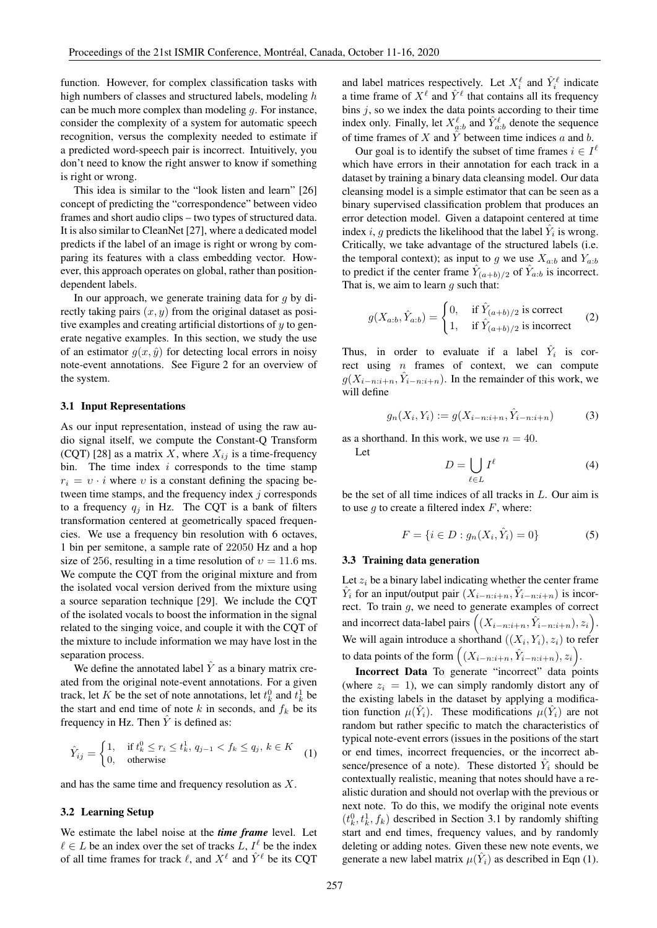function. However, for complex classification tasks with high numbers of classes and structured labels, modeling h can be much more complex than modeling  $q$ . For instance, consider the complexity of a system for automatic speech recognition, versus the complexity needed to estimate if a predicted word-speech pair is incorrect. Intuitively, you don't need to know the right answer to know if something is right or wrong.

This idea is similar to the "look listen and learn" [26] concept of predicting the "correspondence" between video frames and short audio clips – two types of structured data. It is also similar to CleanNet [27], where a dedicated model predicts if the label of an image is right or wrong by comparing its features with a class embedding vector. However, this approach operates on global, rather than positiondependent labels.

In our approach, we generate training data for  $q$  by directly taking pairs  $(x, y)$  from the original dataset as positive examples and creating artificial distortions of  $y$  to generate negative examples. In this section, we study the use of an estimator  $g(x, \hat{y})$  for detecting local errors in noisy note-event annotations. See Figure 2 for an overview of the system.

#### 3.1 Input Representations

As our input representation, instead of using the raw audio signal itself, we compute the Constant-Q Transform (CQT) [28] as a matrix X, where  $X_{ij}$  is a time-frequency bin. The time index  $i$  corresponds to the time stamp  $r_i = v \cdot i$  where v is a constant defining the spacing between time stamps, and the frequency index  $j$  corresponds to a frequency  $q_i$  in Hz. The CQT is a bank of filters transformation centered at geometrically spaced frequencies. We use a frequency bin resolution with 6 octaves, 1 bin per semitone, a sample rate of 22050 Hz and a hop size of 256, resulting in a time resolution of  $v = 11.6$  ms. We compute the CQT from the original mixture and from the isolated vocal version derived from the mixture using a source separation technique [29]. We include the CQT of the isolated vocals to boost the information in the signal related to the singing voice, and couple it with the CQT of the mixture to include information we may have lost in the separation process.

We define the annotated label  $\hat{Y}$  as a binary matrix created from the original note-event annotations. For a given track, let K be the set of note annotations, let  $t_k^0$  and  $t_k^1$  be the start and end time of note k in seconds, and  $f_k$  be its frequency in Hz. Then  $\hat{Y}$  is defined as:

$$
\hat{Y}_{ij} = \begin{cases} 1, & \text{if } t_k^0 \le r_i \le t_k^1, \ q_{j-1} < f_k \le q_j, \ k \in K \\ 0, & \text{otherwise} \end{cases} \tag{1}
$$

and has the same time and frequency resolution as X.

## 3.2 Learning Setup

We estimate the label noise at the *time frame* level. Let  $\ell \in L$  be an index over the set of tracks L,  $I^{\ell}$  be the index of all time frames for track  $\ell$ , and  $X^{\ell}$  and  $\hat{Y}^{\ell}$  be its CQT

and label matrices respectively. Let  $X_i^{\ell}$  and  $\hat{Y}_i^{\ell}$  indicate a time frame of  $X^{\ell}$  and  $\hat{Y}^{\ell}$  that contains all its frequency bins  $j$ , so we index the data points according to their time index only. Finally, let  $X_{a:b}^{\ell}$  and  $\hat{Y}_{a:b}^{\ell}$  denote the sequence of time frames of X and  $\hat{Y}$  between time indices a and b.

Our goal is to identify the subset of time frames  $i \in I^{\ell}$ which have errors in their annotation for each track in a dataset by training a binary data cleansing model. Our data cleansing model is a simple estimator that can be seen as a binary supervised classification problem that produces an error detection model. Given a datapoint centered at time index *i*, *g* predicts the likelihood that the label  $\hat{Y}_i$  is wrong. Critically, we take advantage of the structured labels (i.e. the temporal context); as input to g we use  $X_{a:b}$  and  $Y_{a:b}$ to predict if the center frame  $\hat{Y}_{(a+b)/2}$  of  $\hat{Y}_{a:b}$  is incorrect. That is, we aim to learn  $q$  such that:

$$
g(X_{a:b}, \hat{Y}_{a:b}) = \begin{cases} 0, & \text{if } \hat{Y}_{(a+b)/2} \text{ is correct} \\ 1, & \text{if } \hat{Y}_{(a+b)/2} \text{ is incorrect} \end{cases}
$$
 (2)

Thus, in order to evaluate if a label  $\hat{Y}_i$  is correct using  $n$  frames of context, we can compute  $g(X_{i-n:i+n}, \hat{Y}_{i-n:i+n})$ . In the remainder of this work, we will define

$$
g_n(X_i, Y_i) := g(X_{i-n:i+n}, \hat{Y}_{i-n:i+n})
$$
 (3)

as a shorthand. In this work, we use  $n = 40$ . Let

$$
D = \bigcup_{\ell \in L} I^{\ell} \tag{4}
$$

be the set of all time indices of all tracks in L. Our aim is to use  $q$  to create a filtered index  $F$ , where:

$$
F = \{ i \in D : g_n(X_i, \hat{Y}_i) = 0 \}
$$
 (5)

#### 3.3 Training data generation

Let  $z_i$  be a binary label indicating whether the center frame  $\hat{Y}_i$  for an input/output pair  $(X_{i-n:i+n}, \hat{Y}_{i-n:i+n})$  is incorrect. To train  $g$ , we need to generate examples of correct and incorrect data-label pairs  $((X_{i-n:i+n}, \hat{Y}_{i-n:i+n}), z_i)$ . We will again introduce a shorthand  $((X_i, Y_i), z_i)$  to refer to data points of the form  $((X_{i-n:i+n}, \hat{Y}_{i-n:i+n}), z_i)$ .

Incorrect Data To generate "incorrect" data points (where  $z_i = 1$ ), we can simply randomly distort any of the existing labels in the dataset by applying a modification function  $\mu(\hat{Y}_i)$ . These modifications  $\mu(\hat{Y}_i)$  are not random but rather specific to match the characteristics of typical note-event errors (issues in the positions of the start or end times, incorrect frequencies, or the incorrect absence/presence of a note). These distorted  $\hat{Y}_i$  should be contextually realistic, meaning that notes should have a realistic duration and should not overlap with the previous or next note. To do this, we modify the original note events  $(t_k^0, t_k^1, f_k)$  described in Section 3.1 by randomly shifting start and end times, frequency values, and by randomly deleting or adding notes. Given these new note events, we generate a new label matrix  $\mu(\hat{Y}_i)$  as described in Eqn (1).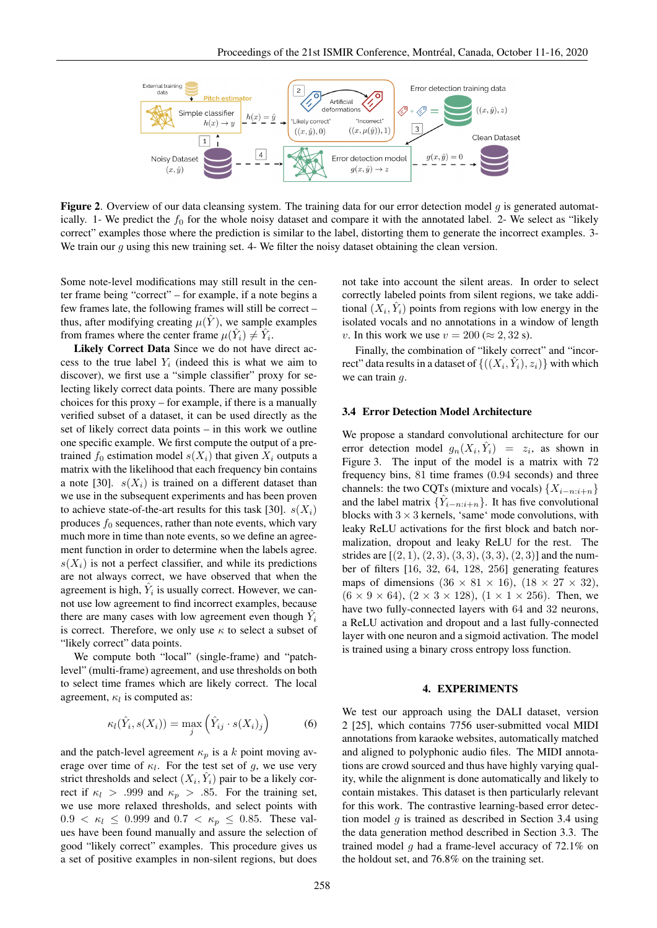

**Figure 2.** Overview of our data cleansing system. The training data for our error detection model  $q$  is generated automatically. 1- We predict the  $f_0$  for the whole noisy dataset and compare it with the annotated label. 2- We select as "likely correct" examples those where the prediction is similar to the label, distorting them to generate the incorrect examples. 3- We train our  $g$  using this new training set. 4- We filter the noisy dataset obtaining the clean version.

Some note-level modifications may still result in the center frame being "correct" – for example, if a note begins a few frames late, the following frames will still be correct – thus, after modifying creating  $\mu(\hat{Y})$ , we sample examples from frames where the center frame  $\mu(\hat{Y}_i) \neq \hat{Y}_i$ .

Likely Correct Data Since we do not have direct access to the true label  $Y_i$  (indeed this is what we aim to discover), we first use a "simple classifier" proxy for selecting likely correct data points. There are many possible choices for this proxy – for example, if there is a manually verified subset of a dataset, it can be used directly as the set of likely correct data points – in this work we outline one specific example. We first compute the output of a pretrained  $f_0$  estimation model  $s(X_i)$  that given  $X_i$  outputs a matrix with the likelihood that each frequency bin contains a note [30].  $s(X_i)$  is trained on a different dataset than we use in the subsequent experiments and has been proven to achieve state-of-the-art results for this task [30].  $s(X_i)$ produces  $f_0$  sequences, rather than note events, which vary much more in time than note events, so we define an agreement function in order to determine when the labels agree.  $s(X_i)$  is not a perfect classifier, and while its predictions are not always correct, we have observed that when the agreement is high,  $\hat{Y}_i$  is usually correct. However, we cannot use low agreement to find incorrect examples, because there are many cases with low agreement even though  $\hat{Y}_i$ is correct. Therefore, we only use  $\kappa$  to select a subset of "likely correct" data points.

We compute both "local" (single-frame) and "patchlevel" (multi-frame) agreement, and use thresholds on both to select time frames which are likely correct. The local agreement,  $\kappa_l$  is computed as:

$$
\kappa_l(\hat{Y}_i, s(X_i)) = \max_j \left( \hat{Y}_{ij} \cdot s(X_i)_j \right) \tag{6}
$$

and the patch-level agreement  $\kappa_p$  is a k point moving average over time of  $\kappa_l$ . For the test set of g, we use very strict thresholds and select  $(X_i, \hat{Y}_i)$  pair to be a likely correct if  $\kappa_l > .999$  and  $\kappa_p > .85$ . For the training set, we use more relaxed thresholds, and select points with  $0.9 < \kappa_l \le 0.999$  and  $0.7 < \kappa_p \le 0.85$ . These values have been found manually and assure the selection of good "likely correct" examples. This procedure gives us a set of positive examples in non-silent regions, but does not take into account the silent areas. In order to select correctly labeled points from silent regions, we take additional  $(X_i, \hat{Y}_i)$  points from regions with low energy in the isolated vocals and no annotations in a window of length v. In this work we use  $v = 200 \approx 2,32 \text{ s}$ .

Finally, the combination of "likely correct" and "incorrect" data results in a dataset of  $\{((X_i, \hat{Y}_i), z_i)\}$  with which we can train q.

# 3.4 Error Detection Model Architecture

We propose a standard convolutional architecture for our error detection model  $g_n(X_i, \hat{Y}_i) = z_i$ , as shown in Figure 3. The input of the model is a matrix with 72 frequency bins, 81 time frames (0.94 seconds) and three channels: the two CQTs (mixture and vocals)  $\{X_{i-n:i+n}\}$ and the label matrix  $\{\hat{Y}_{i-n:i+n}\}\$ . It has five convolutional blocks with  $3 \times 3$  kernels, 'same' mode convolutions, with leaky ReLU activations for the first block and batch normalization, dropout and leaky ReLU for the rest. The strides are  $[(2, 1), (2, 3), (3, 3), (3, 3), (2, 3)]$  and the number of filters [16, 32, 64, 128, 256] generating features maps of dimensions  $(36 \times 81 \times 16)$ ,  $(18 \times 27 \times 32)$ ,  $(6 \times 9 \times 64)$ ,  $(2 \times 3 \times 128)$ ,  $(1 \times 1 \times 256)$ . Then, we have two fully-connected layers with 64 and 32 neurons, a ReLU activation and dropout and a last fully-connected layer with one neuron and a sigmoid activation. The model is trained using a binary cross entropy loss function.

#### 4. EXPERIMENTS

We test our approach using the DALI dataset, version 2 [25], which contains 7756 user-submitted vocal MIDI annotations from karaoke websites, automatically matched and aligned to polyphonic audio files. The MIDI annotations are crowd sourced and thus have highly varying quality, while the alignment is done automatically and likely to contain mistakes. This dataset is then particularly relevant for this work. The contrastive learning-based error detection model  $q$  is trained as described in Section 3.4 using the data generation method described in Section 3.3. The trained model  $q$  had a frame-level accuracy of 72.1% on the holdout set, and 76.8% on the training set.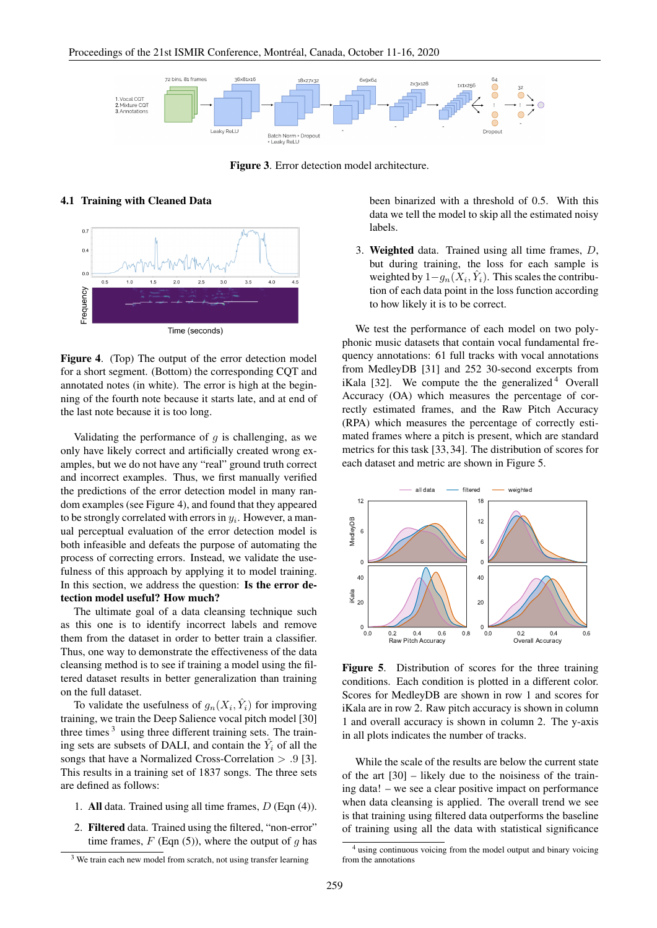

Figure 3. Error detection model architecture.

# 4.1 Training with Cleaned Data



Figure 4. (Top) The output of the error detection model for a short segment. (Bottom) the corresponding CQT and annotated notes (in white). The error is high at the beginning of the fourth note because it starts late, and at end of the last note because it is too long.

Validating the performance of  $g$  is challenging, as we only have likely correct and artificially created wrong examples, but we do not have any "real" ground truth correct and incorrect examples. Thus, we first manually verified the predictions of the error detection model in many random examples (see Figure 4), and found that they appeared to be strongly correlated with errors in  $y_i$ . However, a manual perceptual evaluation of the error detection model is both infeasible and defeats the purpose of automating the process of correcting errors. Instead, we validate the usefulness of this approach by applying it to model training. In this section, we address the question: Is the error detection model useful? How much?

The ultimate goal of a data cleansing technique such as this one is to identify incorrect labels and remove them from the dataset in order to better train a classifier. Thus, one way to demonstrate the effectiveness of the data cleansing method is to see if training a model using the filtered dataset results in better generalization than training on the full dataset.

To validate the usefulness of  $g_n(X_i, \hat{Y}_i)$  for improving training, we train the Deep Salience vocal pitch model [30] three times  $3$  using three different training sets. The training sets are subsets of DALI, and contain the  $\hat{Y}_i$  of all the songs that have a Normalized Cross-Correlation > .9 [3]. This results in a training set of 1837 songs. The three sets are defined as follows:

- 1. All data. Trained using all time frames,  $D$  (Eqn (4)).
- 2. Filtered data. Trained using the filtered, "non-error" time frames,  $F$  (Eqn (5)), where the output of q has

been binarized with a threshold of 0.5. With this data we tell the model to skip all the estimated noisy labels.

3. Weighted data. Trained using all time frames, D, but during training, the loss for each sample is weighted by  $1-g_n(X_i, \hat{Y}_i)$ . This scales the contribution of each data point in the loss function according to how likely it is to be correct.

We test the performance of each model on two polyphonic music datasets that contain vocal fundamental frequency annotations: 61 full tracks with vocal annotations from MedleyDB [31] and 252 30-second excerpts from iKala [32]. We compute the the generalized  $4$  Overall Accuracy (OA) which measures the percentage of correctly estimated frames, and the Raw Pitch Accuracy (RPA) which measures the percentage of correctly estimated frames where a pitch is present, which are standard metrics for this task [33, 34]. The distribution of scores for each dataset and metric are shown in Figure 5.



Figure 5. Distribution of scores for the three training conditions. Each condition is plotted in a different color. Scores for MedleyDB are shown in row 1 and scores for iKala are in row 2. Raw pitch accuracy is shown in column 1 and overall accuracy is shown in column 2. The y-axis in all plots indicates the number of tracks.

While the scale of the results are below the current state of the art [30] – likely due to the noisiness of the training data! – we see a clear positive impact on performance when data cleansing is applied. The overall trend we see is that training using filtered data outperforms the baseline of training using all the data with statistical significance

<sup>&</sup>lt;sup>3</sup> We train each new model from scratch, not using transfer learning

<sup>4</sup> using continuous voicing from the model output and binary voicing from the annotations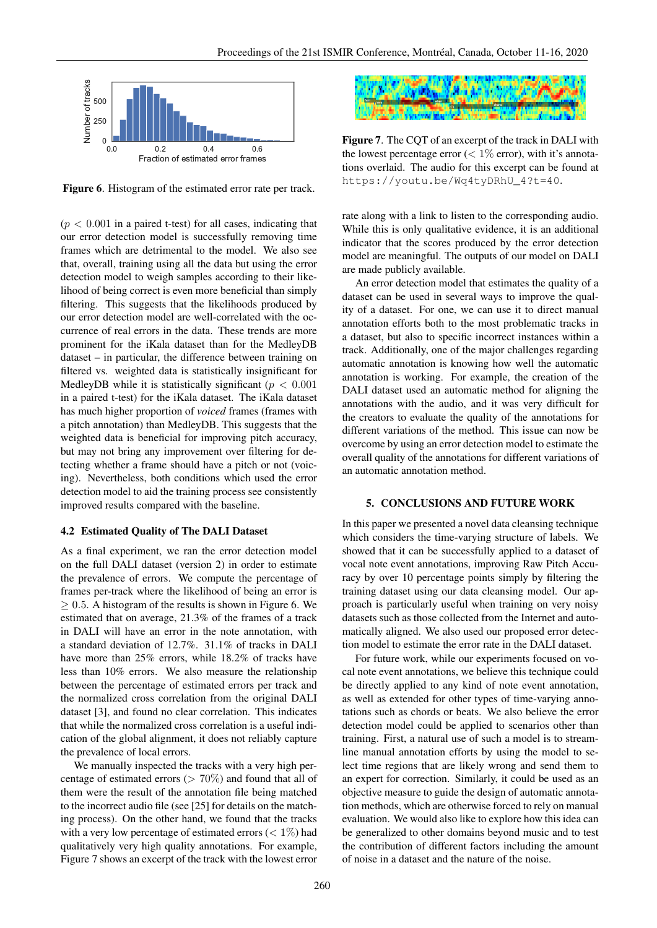

Figure 6. Histogram of the estimated error rate per track.

 $(p < 0.001$  in a paired t-test) for all cases, indicating that our error detection model is successfully removing time frames which are detrimental to the model. We also see that, overall, training using all the data but using the error detection model to weigh samples according to their likelihood of being correct is even more beneficial than simply filtering. This suggests that the likelihoods produced by our error detection model are well-correlated with the occurrence of real errors in the data. These trends are more prominent for the iKala dataset than for the MedleyDB dataset – in particular, the difference between training on filtered vs. weighted data is statistically insignificant for MedleyDB while it is statistically significant ( $p < 0.001$ ) in a paired t-test) for the iKala dataset. The iKala dataset has much higher proportion of *voiced* frames (frames with a pitch annotation) than MedleyDB. This suggests that the weighted data is beneficial for improving pitch accuracy, but may not bring any improvement over filtering for detecting whether a frame should have a pitch or not (voicing). Nevertheless, both conditions which used the error detection model to aid the training process see consistently improved results compared with the baseline.

## 4.2 Estimated Quality of The DALI Dataset

As a final experiment, we ran the error detection model on the full DALI dataset (version 2) in order to estimate the prevalence of errors. We compute the percentage of frames per-track where the likelihood of being an error is  $\geq$  0.5. A histogram of the results is shown in Figure 6. We estimated that on average, 21.3% of the frames of a track in DALI will have an error in the note annotation, with a standard deviation of 12.7%. 31.1% of tracks in DALI have more than 25% errors, while 18.2% of tracks have less than 10% errors. We also measure the relationship between the percentage of estimated errors per track and the normalized cross correlation from the original DALI dataset [3], and found no clear correlation. This indicates that while the normalized cross correlation is a useful indication of the global alignment, it does not reliably capture the prevalence of local errors.

We manually inspected the tracks with a very high percentage of estimated errors ( $> 70\%$ ) and found that all of them were the result of the annotation file being matched to the incorrect audio file (see [25] for details on the matching process). On the other hand, we found that the tracks with a very low percentage of estimated errors  $(< 1\%)$  had qualitatively very high quality annotations. For example, Figure 7 shows an excerpt of the track with the lowest error



Figure 7. The CQT of an excerpt of the track in DALI with the lowest percentage error ( $< 1\%$  error), with it's annotations overlaid. The audio for this excerpt can be found at https://youtu.be/Wq4tyDRhU\_4?t=40.

rate along with a link to listen to the corresponding audio. While this is only qualitative evidence, it is an additional indicator that the scores produced by the error detection model are meaningful. The outputs of our model on DALI are made publicly available.

An error detection model that estimates the quality of a dataset can be used in several ways to improve the quality of a dataset. For one, we can use it to direct manual annotation efforts both to the most problematic tracks in a dataset, but also to specific incorrect instances within a track. Additionally, one of the major challenges regarding automatic annotation is knowing how well the automatic annotation is working. For example, the creation of the DALI dataset used an automatic method for aligning the annotations with the audio, and it was very difficult for the creators to evaluate the quality of the annotations for different variations of the method. This issue can now be overcome by using an error detection model to estimate the overall quality of the annotations for different variations of an automatic annotation method.

#### 5. CONCLUSIONS AND FUTURE WORK

In this paper we presented a novel data cleansing technique which considers the time-varying structure of labels. We showed that it can be successfully applied to a dataset of vocal note event annotations, improving Raw Pitch Accuracy by over 10 percentage points simply by filtering the training dataset using our data cleansing model. Our approach is particularly useful when training on very noisy datasets such as those collected from the Internet and automatically aligned. We also used our proposed error detection model to estimate the error rate in the DALI dataset.

For future work, while our experiments focused on vocal note event annotations, we believe this technique could be directly applied to any kind of note event annotation, as well as extended for other types of time-varying annotations such as chords or beats. We also believe the error detection model could be applied to scenarios other than training. First, a natural use of such a model is to streamline manual annotation efforts by using the model to select time regions that are likely wrong and send them to an expert for correction. Similarly, it could be used as an objective measure to guide the design of automatic annotation methods, which are otherwise forced to rely on manual evaluation. We would also like to explore how this idea can be generalized to other domains beyond music and to test the contribution of different factors including the amount of noise in a dataset and the nature of the noise.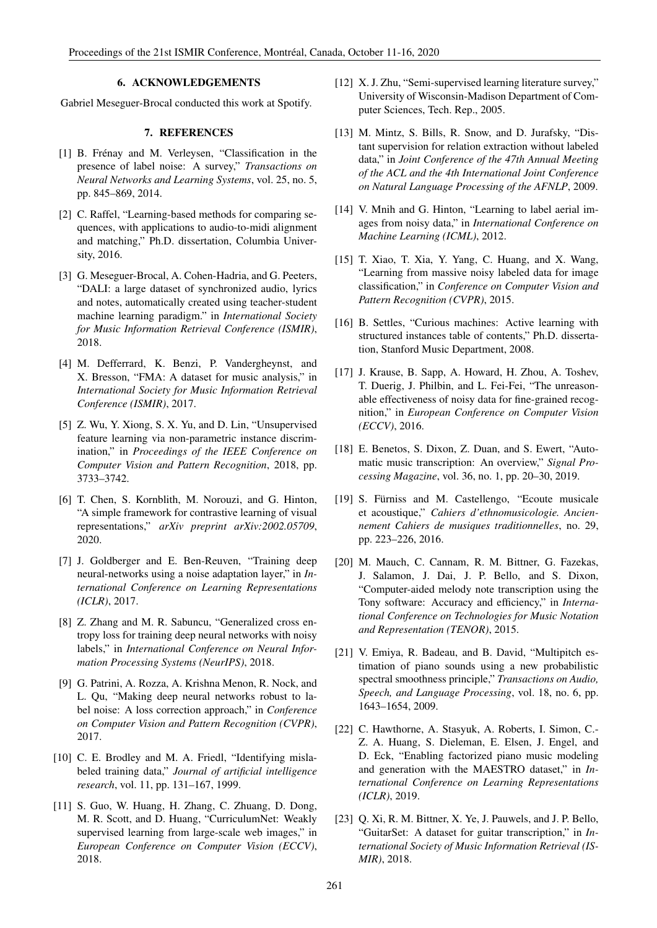# 6. ACKNOWLEDGEMENTS

Gabriel Meseguer-Brocal conducted this work at Spotify.

# 7. REFERENCES

- [1] B. Frénay and M. Verleysen, "Classification in the presence of label noise: A survey," *Transactions on Neural Networks and Learning Systems*, vol. 25, no. 5, pp. 845–869, 2014.
- [2] C. Raffel, "Learning-based methods for comparing sequences, with applications to audio-to-midi alignment and matching," Ph.D. dissertation, Columbia University, 2016.
- [3] G. Meseguer-Brocal, A. Cohen-Hadria, and G. Peeters, "DALI: a large dataset of synchronized audio, lyrics and notes, automatically created using teacher-student machine learning paradigm." in *International Society for Music Information Retrieval Conference (ISMIR)*, 2018.
- [4] M. Defferrard, K. Benzi, P. Vandergheynst, and X. Bresson, "FMA: A dataset for music analysis," in *International Society for Music Information Retrieval Conference (ISMIR)*, 2017.
- [5] Z. Wu, Y. Xiong, S. X. Yu, and D. Lin, "Unsupervised feature learning via non-parametric instance discrimination," in *Proceedings of the IEEE Conference on Computer Vision and Pattern Recognition*, 2018, pp. 3733–3742.
- [6] T. Chen, S. Kornblith, M. Norouzi, and G. Hinton, "A simple framework for contrastive learning of visual representations," *arXiv preprint arXiv:2002.05709*, 2020.
- [7] J. Goldberger and E. Ben-Reuven, "Training deep neural-networks using a noise adaptation layer," in *International Conference on Learning Representations (ICLR)*, 2017.
- [8] Z. Zhang and M. R. Sabuncu, "Generalized cross entropy loss for training deep neural networks with noisy labels," in *International Conference on Neural Information Processing Systems (NeurIPS)*, 2018.
- [9] G. Patrini, A. Rozza, A. Krishna Menon, R. Nock, and L. Qu, "Making deep neural networks robust to label noise: A loss correction approach," in *Conference on Computer Vision and Pattern Recognition (CVPR)*, 2017.
- [10] C. E. Brodley and M. A. Friedl, "Identifying mislabeled training data," *Journal of artificial intelligence research*, vol. 11, pp. 131–167, 1999.
- [11] S. Guo, W. Huang, H. Zhang, C. Zhuang, D. Dong, M. R. Scott, and D. Huang, "CurriculumNet: Weakly supervised learning from large-scale web images," in *European Conference on Computer Vision (ECCV)*, 2018.
- [12] X. J. Zhu, "Semi-supervised learning literature survey," University of Wisconsin-Madison Department of Computer Sciences, Tech. Rep., 2005.
- [13] M. Mintz, S. Bills, R. Snow, and D. Jurafsky, "Distant supervision for relation extraction without labeled data," in *Joint Conference of the 47th Annual Meeting of the ACL and the 4th International Joint Conference on Natural Language Processing of the AFNLP*, 2009.
- [14] V. Mnih and G. Hinton, "Learning to label aerial images from noisy data," in *International Conference on Machine Learning (ICML)*, 2012.
- [15] T. Xiao, T. Xia, Y. Yang, C. Huang, and X. Wang, "Learning from massive noisy labeled data for image classification," in *Conference on Computer Vision and Pattern Recognition (CVPR)*, 2015.
- [16] B. Settles, "Curious machines: Active learning with structured instances table of contents," Ph.D. dissertation, Stanford Music Department, 2008.
- [17] J. Krause, B. Sapp, A. Howard, H. Zhou, A. Toshev, T. Duerig, J. Philbin, and L. Fei-Fei, "The unreasonable effectiveness of noisy data for fine-grained recognition," in *European Conference on Computer Vision (ECCV)*, 2016.
- [18] E. Benetos, S. Dixon, Z. Duan, and S. Ewert, "Automatic music transcription: An overview," *Signal Processing Magazine*, vol. 36, no. 1, pp. 20–30, 2019.
- [19] S. Fürniss and M. Castellengo, "Ecoute musicale et acoustique," *Cahiers d'ethnomusicologie. Anciennement Cahiers de musiques traditionnelles*, no. 29, pp. 223–226, 2016.
- [20] M. Mauch, C. Cannam, R. M. Bittner, G. Fazekas, J. Salamon, J. Dai, J. P. Bello, and S. Dixon, "Computer-aided melody note transcription using the Tony software: Accuracy and efficiency," in *International Conference on Technologies for Music Notation and Representation (TENOR)*, 2015.
- [21] V. Emiya, R. Badeau, and B. David, "Multipitch estimation of piano sounds using a new probabilistic spectral smoothness principle," *Transactions on Audio, Speech, and Language Processing*, vol. 18, no. 6, pp. 1643–1654, 2009.
- [22] C. Hawthorne, A. Stasyuk, A. Roberts, I. Simon, C.- Z. A. Huang, S. Dieleman, E. Elsen, J. Engel, and D. Eck, "Enabling factorized piano music modeling and generation with the MAESTRO dataset," in *International Conference on Learning Representations (ICLR)*, 2019.
- [23] Q. Xi, R. M. Bittner, X. Ye, J. Pauwels, and J. P. Bello, "GuitarSet: A dataset for guitar transcription," in *International Society of Music Information Retrieval (IS-MIR)*, 2018.